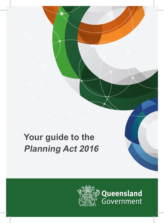# **Your guide to the Planning Act 2016**



**Queensland**<br>Government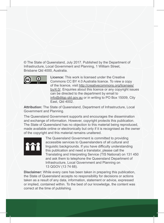© The State of Queensland, July 2017. Published by the Department of Infrastructure, Local Government and Planning, 1 William Street Brisbane Qld 4000, Australia.



**Licence:** This work is licensed under the Creative Commons CC BY 4.0 Australia licence. To view a copy of the licence, visit http://creativecommons.org/licenses/ by/4.0/. Enquiries about this licence or any copyright issues can be directed to the department by email to info@dilgp.qld.gov.au or in writing to PO Box 15009, City East, Qld 4002.

**Attribution:** The State of Queensland, Department of Infrastructure, Local Government and Planning.

The Queensland Government supports and encourages the dissemination and exchange of information. However, copyright protects this publication. The State of Queensland has no objection to this material being reproduced, made available online or electronically but only if it is recognised as the owner of the copyright and this material remains unaltered.



The Queensland Government is committed to providing accessible services to Queenslanders of all cultural and linguistic backgrounds. If you have difficulty understanding this publication and need a translator, please call the Translating and Interpreting Service (TIS National) on 131 450 and ask them to telephone the Queensland Department of Infrastructure, Local Government and Planning on 13 QGOV (13 74 68).

**Disclaimer:** While every care has been taken in preparing this publication, the State of Queensland accepts no responsibility for decisions or actions taken as a result of any data, information, statement or advice, expressed or implied, contained within. To the best of our knowledge, the content was correct at the time of publishing.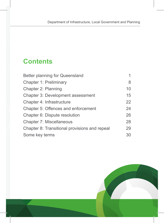# **Contents**

| Better planning for Queensland                | 1  |
|-----------------------------------------------|----|
| Chapter 1: Preliminary                        | 8  |
| Chapter 2: Planning                           | 10 |
| Chapter 3: Development assessment             | 15 |
| Chapter 4: Infrastructure                     | 22 |
| Chapter 5: Offences and enforcement           | 24 |
| Chapter 6: Dispute resolution                 | 26 |
| Chapter 7: Miscellaneous                      | 28 |
| Chapter 8: Transitional provisions and repeal | 29 |
| Some key terms                                | 30 |

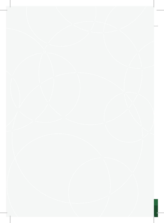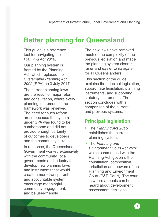# **Better planning for Queensland**

This quide is a reference tool for navigating the *Planning Act 2016*.

Our planning system is framed by the Planning Act, which replaced the *Sustainable Planning Act 2009* (SPA) on 3 July 2017.

The current planning laws are the result of major reform and consultation, where every planning instrument in the framework was reviewed. The need for such reform arose because the system under SPA was found to be cumbersome and did not provide enough certainty of outcomes to developers and the community alike.

In response, the Queensland Government worked extensively with the community, local governments and industry to develop new planning laws and instruments that would create a more transparent and accountable system, encourage meaningful community engagement, and be user-friendly.

The new laws have removed much of the complexity of the previous legislation and made the planning system clearer, fairer and easier to navigate for all Queenslanders.

This section of the guide explains the principal legislation, subordinate legislation, planning instruments, and supporting statutory instruments. The section concludes with a comparison of the current and previous systems.

# **Principal legislation**

- > The *Planning Act 2016* establishes the current planning system.
- > The *Planning and Environment Court Act 2016*, which commenced with the Planning Act, governs the constitution, composition, jurisdiction and powers of the Planning and Environment Court (P&E Court). The court is where appeals can be heard about development assessment decisions.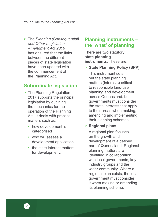> The *Planning (Consequential) and Other Legislation Amendment Act 2016* has ensured that the links between the different pieces of state legislation have been updated with the commencement of the Planning Act.

# **Subordinate legislation**

- > The Planning Regulation 2017 supports the principal legislation by outlining the mechanics for the operation of the Planning Act. It deals with practical matters such as:
	- how development is categorised
	- who will assess a development application
	- the state interest matters for development.

# **Planning instruments – the 'what' of planning**

There are two statutory **state planning instruments**. These are:

#### > **State Planning Policy (SPP)**

This instrument sets out the state planning matters (interests) critical to responsible land-use planning and development across Queensland. Local governments must consider the state interests that apply to their areas when making, amending and implementing their planning schemes.

#### > **Regional plans**

A regional plan focuses on the growth and development of a defined part of Queensland. Regional planning matters are identified in collaboration with local governments, key industry groups and the wider community. Where a regional plan exists, the local government must consider it when making or amending its planning scheme.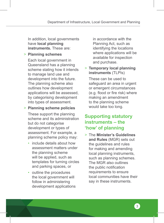In addition, local governments have **local planning instruments.** These are:

#### > **Planning schemes**

Each local government in Queensland has a planning scheme stating how it intends to manage land use and development into the future. The planning scheme also outlines how development applications will be assessed, by categorising development into types of assessment.

#### > **Planning scheme policies**

These support the planning scheme and its administration but do not categorise development or types of assessment. For example, a planning scheme policy may:

- include details about how assessment matters under the planning scheme will be applied, such as templates for turning circles and parking spaces, or
- outline the procedures the local government will follow in administering development applications

in accordance with the Planning Act, such as identifying the locations where applications will be available for inspection and purchase.

#### > **Temporary local planning instruments** (TLPIs)

These can be used to safeguard an area in urgent or emergent circumstances (e.g. flood or fire risk) where making an amendment to the planning scheme would take too long.

### **Supporting statutory instruments – the 'how' of planning**

> The **Minister's Guidelines and Rules** (MGR) sets out the guidelines and rules for making and amending local planning instruments, such as planning schemes. The MGR also outlines the public notification requirements to ensure local communities have their say in these instruments.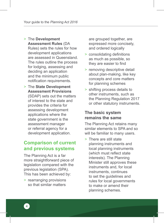- > The **Development Assessment Rules** (DA Rules) sets the rules for how development applications are assessed in Queensland. The rules outline the process for lodging, assessing and deciding an application and the minimum public notification requirements.
- > The **State Development Assessment Provisions** (SDAP) sets out the matters of interest to the state and provides the criteria for assessing development applications where the state government is the assessment manager or referral agency for a development application.

# **Comparison of current and previous systems**

The Planning Act is a far more straightforward piece of legislation compared with the previous legislation (SPA). This has been achieved by:

> rearranging provisions so that similar matters

are grouped together, are expressed more concisely, and ordered logically

- > consolidating definitions as much as possible, so they are easier to find
- > removing descriptive detail about plan-making, like key concepts and core matters for planning schemes
- > shifting process details to other instruments, such as the Planning Regulation 2017 or other statutory instruments.

#### **The basic system remains the same**

The Planning Act retains many similar elements to SPA and so will be familiar to many users.

> There are still state planning instruments and local planning instruments (which must reflect state interests). The Planning Minister still approves these instruments and, for local instruments, continues to set the guidelines and rules for local governments to make or amend their planning schemes.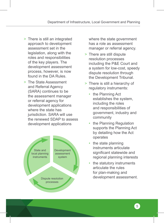- > There is still an integrated approach to development assessment set in the legislation, along with the roles and responsibilities of the key players. The development assessment process, however, is now found in the DA Rules.
- > The State Assessment and Referral Agency (SARA) continues to be the assessment manager or referral agency for development applications where the state has jurisdiction. SARA will use the renewed SDAP to assess development applications



where the state government has a role as assessment manager or referral agency.

- > There are still dispute resolution processes including the P&E Court and a system for low-cost, speedy dispute resolution through the Development Tribunal.
- > There is still a hierarchy of regulatory instruments:
	- the Planning Act establishes the system, including the roles and responsibilities of government, industry and community
	- the Planning Regulation supports the Planning Act by detailing how the Act operates
	- the state planning instruments articulate significant statewide and regional planning interests
	- the statutory instruments articulate the rules for plan-making and development assessment.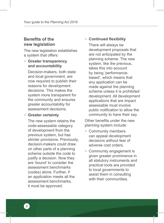#### **Benefits of the new legislation**

The new legislation establishes a system that offers:

#### > **Greater transparency and accountability**

Decision-makers, both state and local government, are now required to publish their reasons for development decisions. This makes the system more transparent for the community and ensures greater accountability for assessment decisions.

#### > **Greater certainty**

The new system retains the code-assessable category of development from the previous system, but has stricter provisions. Previously, decision-makers could draw on other parts of a planning scheme outside the code to justify a decision. Now they are 'bound' to consider the assessment benchmarks (codes) alone. Further, if an application meets all the assessment benchmarks, it must be approved.

#### > **Continued flexibility**

There will always be development proposals that are not anticipated by the planning scheme. The new system, like the previous, takes this into account by being 'performancebased', which means that any application can be made against the planning scheme unless it is prohibited development. All development applications that are impact assessable must involve public notification to allow the community to have their say.

Other benefits under the new planning system include:

- > Community members can appeal development decisions without fear of adverse cost orders.
- > Community engagement is given greater prominence in all statutory instruments and practical tools are provided to local governments to assist them in consulting with their communities.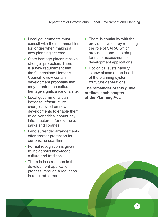- > Local governments must consult with their communities for longer when making a new planning scheme.
- > State heritage places receive stronger protection. There is a new requirement that the Queensland Heritage Council review certain development proposals that may threaten the cultural heritage significance of a site.
- > Local governments can increase infrastructure charges levied on new developments to enable them to deliver critical community infrastructure – for example, parks and libraries.
- > Land surrender arrangements offer greater protection for our pristine coastline.
- > Formal recognition is given to Indigenous knowledge, culture and tradition.
- > There is less red tape in the development application process, through a reduction in required forms.
- > There is continuity with the previous system by retaining the role of SARA, which provides a one-stop-shop for state assessment of development applications.
- > Ecological sustainability is now placed at the heart of the planning system for future generations.

**The remainder of this guide outlines each chapter of the Planning Act.**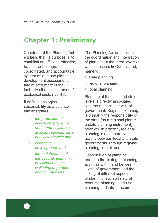# **Chapter 1: Preliminary**

Chapter 1 of the Planning Act explains that its purpose is 'to establish an efficient, effective, transparent, integrated, coordinated, and accountable system of land use planning, development assessment and related matters that facilitates the achievement of ecological sustainability'.

It defines ecological sustainability as a balance that integrates:

- > *the protection of ecological processes and natural systems at local, regional, state and wider levels; and*
- > *economic development; and*
- > *the maintenance of the cultural, economic, physical and social wellbeing of people and communities.*

The Planning Act emphasises the coordination and integration of planning at the three levels at which it occurs in Queensland. namely:

- > state planning
- > regional planning
- > local planning.

Planning at the local and state levels is directly associated with the respective levels of government. Regional planning is primarily the responsibility of the state (as a regional plan is a state planning instrument); however, in practice, regional planning is a cooperative activity between local and state governments, through regional planning committees.

Coordination of planning refers to the linking of planning activities within and between levels of government and the linking of different aspects of planning, such as natural resource planning, land-use planning and infrastructure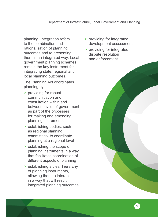planning. Integration refers to the combination and rationalisation of planning outcomes and to presenting them in an integrated way. Local government planning schemes remain the key instrument for integrating state, regional and local planning outcomes.

The Planning Act coordinates planning by:

- > providing for robust communication and consultation within and between levels of government as part of the processes for making and amending planning instruments
- > establishing bodies, such as regional planning committees, to coordinate planning at a regional level
- > establishing the scope of planning instruments in a way that facilitates coordination of different aspects of planning
- > establishing a clear hierarchy of planning instruments, allowing them to interact in a way that will result in integrated planning outcomes
- > providing for integrated development assessment
- > providing for integrated dispute resolution and enforcement.

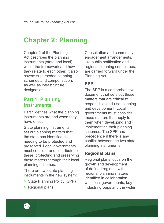# **Chapter 2: Planning**

Chapter 2 of the Planning Act describes the planning instruments (state and local) within the framework and how they relate to each other. It also covers superseded planning schemes and compensation, as well as infrastructure designations

# **Part 1: Planning instruments**

Part 1 defines what the planning instruments are and when they have effect.

State planning instruments set out planning matters that the state has identified as needing to be protected and preserved. Local governments must consider and contribute to these, protecting and preserving these matters through their local planning schemes.

There are two state planning instruments in the new system:

- > State Planning Policy (SPP)
- > Regional plans.

Consultation and community engagement arrangements, like public notification and regional planning committees, are carried forward under the Planning Act.

#### **SPP**

The SPP is a comprehensive document that sets out those matters that are critical to responsible land-use planning and development. Local governments must consider those matters that apply to them when developing and implementing their planning schemes. The SPP has precedence if there is any conflict between the two state planning instruments.

### **Regional plans**

Regional plans focus on the growth and development of defined regions, with regional planning matters identified in collaboration with local governments, key industry groups and the wider

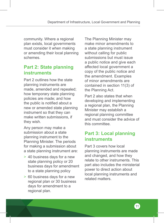community. Where a regional plan exists, local governments must consider it when making or amending their local planning schemes.

# **Part 2: State planning instruments**

Part 2 outlines how the state planning instruments are made, amended and repealed; how temporary state planning policies are made; and how the public is notified about a new or amended state planning instrument so that they can make written submissions, if they wish.

Any person may make a submission about a state planning instrument to the Planning Minister. The periods for making a submission about a state planning instrument are:

- > 40 business days for a new state planning policy or 20 business days for amendment to a state planning policy
- > 60 business days for a new regional plan or 30 business days for amendment to a regional plan.

The Planning Minister may make minor amendments to a state planning instrument without calling for public submissions but must issue a public notice and give each affected local government a copy of the public notice and the amendment. Examples of minor amendments are contained in section 11(3) of the Planning Act.

Part 2 also states that when developing and implementing a regional plan, the Planning Minister may establish a regional planning committee and must consider the advice of this committee.

# **Part 3: Local planning instruments**

Part 3 covers how local planning instruments are made and changed, and how they relate to other instruments. This part also includes the ministerial power to direct action about local planning instruments and related matters.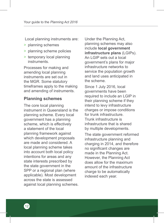Local planning instruments are:

- > planning schemes
- > planning scheme policies
- > temporary local planning **instruments**

Processes for making and amending local planning instruments are set out in the MGR. Some statutory timeframes apply to the making and amending of instruments.

#### **Planning schemes**

The core local planning instrument in Queensland is the planning scheme. Every local government has a planning scheme, which is effectively a statement of the local planning framework against which development proposals are made and considered. A local planning scheme takes into account both local policy intentions for areas and any state interests prescribed by the state government in the SPP or a regional plan (where applicable). Most development across the state is assessed against local planning schemes. Under the Planning Act, planning schemes may also include **local government infrastructure plans** (LGIPs). An LGIP sets out a local government's plans for major infrastructure networks to service the population growth and land uses anticipated in the scheme.

Since 1 July 2016, local governments have been required to include an LGIP in their planning scheme if they intend to levy infrastructure charges or impose conditions for trunk infrastructure. Trunk infrastructure is infrastructure that is shared by multiple developments.

The state government reformed infrastructure planning and charging in 2014, and therefore no significant changes are made in the Planning Act. However, the Planning Act does allow for the maximum amount of the infrastructure charge to be automatically indexed each year.

12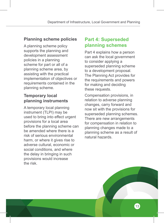#### **Planning scheme policies**

A planning scheme policy supports the planning and development assessment policies in a planning scheme for part or all of a planning scheme area, by assisting with the practical implementation of objectives or requirements contained in the planning scheme.

#### **Temporary local planning instruments**

A temporary local planning instrument (TLPI) may be used to bring into effect urgent provisions for a local area before the planning scheme can be amended where there is a risk of serious environmental harm, or where it gives rise to adverse cultural, economic or social conditions, and where the delay in bringing in such provisions would increase the risk.

# **Part 4: Superseded planning schemes**

Part 4 explains how a person can ask the local government to consider applying a superseded planning scheme to a development proposal. The Planning Act provides for the requirements and powers for making and deciding these requests.

Compensation provisions, in relation to adverse planning changes, carry forward and now sit with the provisions for superseded planning schemes. There are new arrangements for compensation in relation to planning changes made to a planning scheme as a result of natural hazards.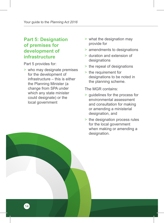# **Part 5: Designation of premises for development of infrastructure**

Part 5 provides for:

14

> who may designate premises for the development of infrastructure – this is either the Planning Minister (a change from SPA under which any state minister could designate) or the local government

- > what the designation may provide for
- > amendments to designations
- > duration and extension of designations
- > the repeal of designations
- > the requirement for designations to be noted in the planning scheme.

The MGR contains:

- > guidelines for the process for environmental assessment and consultation for making or amending a ministerial designation, and
- > the designation process rules for the local government when making or amending a designation.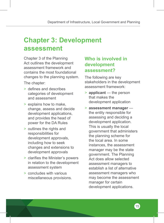# **Chapter 3: Development assessment**

Chapter 3 of the Planning Act outlines the development assessment framework and contains the most foundational changes to the planning system.

The chapter:

- > defines and describes categories of development and assessment
- > explains how to make, change, assess and decide development applications. and provides the head of power for the DA Rules
- > outlines the rights and responsibilities for development approvals, including how to seek changes and extensions to development approvals
- > clarifies the Minister's powers in relation to the development assessment system
- > concludes with various miscellaneous provisions.

# **Who is involved in development assessment?**

The following are key stakeholders in the development assessment framework:

- > **applicant**  the person that makes the development application
- > **assessment manager**  the entity responsible for assessing and deciding a development application. This is usually the local government that administers the planning scheme for the local area. In some instances, the assessment manager may be the state government. The Planning Act does allow selected assessment managers to establish a list of alternative assessment managers who may become the assessment manager for certain development applications.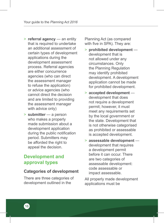- > **referral agency** an entity that is required to undertake an additional assessment of certain types of development applications during the development assessment process. Referral agencies are either concurrence agencies (who can direct the assessment manager to refuse the application) or advice agencies (who cannot direct the decision and are limited to providing the assessment manager with advice only)
- > **submitter** a person who makes a properly made submission about a development application during the public notification period. Submitters may be afforded the right to appeal the decision.

# **Development and approval types**

#### **Categories of development**

There are three categories of development outlined in the

Planning Act (as compared with five in SPA). They are:

- > **prohibited development** development that is not allowed under any circumstances. Only the Planning Regulation may identify prohibited development. A development application cannot be made for prohibited development.
- > **accepted development** development that does not require a development permit; however, it must meet any requirements set by the local government or the state. Development that is not otherwise categorised as prohibited or assessable is accepted development.
- > **assessable development** development that requires a development permit before it can occur. There are two categories of assessable development: code assessable or impact assessable.

All properly made development applications must be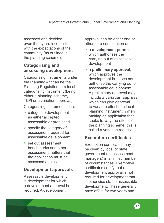assessed and decided, even if they are inconsistent with the expectations of the community (as outlined in the planning scheme).

### **Categorising and assessing development**

Categorising instruments under the Planning Act can be the Planning Regulation or a local categorising instrument (being either a planning scheme, TLPI or a variation approval).

Categorising instruments can:

- > categorise development as either accepted, assessable or prohibited
- > specify the category of assessment required for assessable development
- > set out assessment benchmarks and other assessment matters that the application must be assessed against.

#### **Development approvals**

Assessable development is development for which a development approval is required. A development

approval can be either one or other, or a combination of:

- > a **development permit**, which authorises the carrying out of assessable development
- > a **preliminary approval**, which approves the development but does not authorise the carrying out of assessable development. A preliminary approval may include a **variation approval**, which can give approval to vary the effect of a local planning instrument. When making an application that seeks to vary the effect of the planning scheme, this is called a variation request.

# **Exemption certificates**

Exemption certificates may be given by local or state government (as assessment managers) in a limited number of circumstances. Exemption certificates certify that a development approval is not required for development that is otherwise stated assessable development. These generally have effect for two years and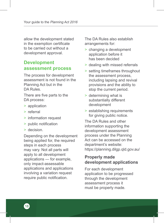allow the development stated in the exemption certificate to be carried out without a development approval.

### **Development assessment process**

The process for development assessment is not found in the Planning Act but in the DA Rules.

There are five parts to the DA process:

- > application
- > referral
- > information request
- > public notification
- > decision.

Depending on the development being applied for, the required steps in each process may vary. Not all parts will apply to all development applications — for example, only impact-assessable applications and applications involving a variation request require public notification.

The DA Rules also establish arrangements for:

- > changing a development application before it has been decided
- > dealing with missed referrals
- > setting timeframes throughout the assessment process, including lapsing and revival provisions and the ability to stop the current period.
- > determining what is substantially different development
- > establishing requirements for giving public notice.

The DA Rules and other information supporting the development assessment process under the Planning Act can be accessed on the department's website: https://planning.dilgp.qld.gov.au/

#### **Properly made development applications**

For each development application to be progressed through the development assessment process it must be properly made.

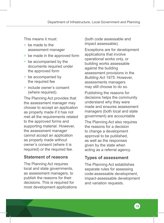This means it must:

- > be made to the assessment manager
- > be made in the approved form
- > be accompanied by the documents required under the approved form
- > be accompanied by the required fee
- > include owner's consent (where required).

The Planning Act provides that the assessment manager may choose to accept an application as properly made if it has not met all the requirements related to the approved forms and supporting material. However, the assessment manager cannot accept an application as properly made without owner's consent (where it is required) or the required fee.

#### **Statement of reasons**

The Planning Act requires local and state governments, as assessment managers, to publish the reasons for their decisions. This is required for most development applications (both code assessable and impact assessable).

Exceptions are for development applications that involve operational works only, or building works assessable against the building assessment provisions in the *Building Act 1975*. However, assessments managers may still choose to do so.

Publishing the reasons for decisions helps the community understand why they were made and ensures assessment managers (both local and state government) are accountable

The Planning Act also requires the reasons for a decision to change a development approval to be published, as well as the responses given by the state when acting as a referral agency.

### **Types of assessment**

The Planning Act establishes separate rules for assessing code-assessable development, impact-assessable development and variation requests.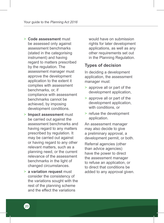- > **Code assessment** must be assessed only against assessment benchmarks (stated in the categorising instrument) and having regard to matters prescribed by the regulation. The assessment manager must approve the development application to the extent it complies with assessment benchmarks, or, if compliance with assessment benchmarks cannot be achieved, by imposing development conditions.
- > **Impact assessment** must be carried out against the assessment benchmarks and having regard to any matters prescribed by regulation. It may be carried out against or having regard to any other relevant matters, such as a planning need, or the current relevance of the assessment benchmarks in the light of changed circumstances.
- > **a variation request** must consider the consistency of the variations sought with the rest of the planning scheme and the effect the variations

20

would have on submission rights for later development applications, as well as any other requirements set out in the Planning Regulation.

#### **Types of decision**

In deciding a development application, the assessment manager must:

- > approve all or part of the development application,
- > approve all or part of the development application. with conditions, or
- > refuse the development application.

An assessment manager may also decide to give a preliminary approval, a development permit, or both.

Referral agencies (other than advice agencies) have the power to direct the assessment manager to refuse an application, or to direct that conditions be added to any approval given.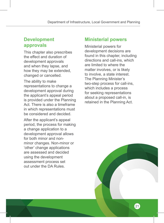# **Development approvals**

This chapter also prescribes the effect and duration of development approvals and when they lapse, and how they may be extended, changed or cancelled.

The ability to make representations to change a development approval during the applicant's appeal period is provided under the Planning Act. There is also a timeframe in which representations must be considered and decided.

After the applicant's appeal period, the process for making a change application to a development approval allows for both minor and nonminor changes. Non-minor or 'other' change applications are assessed and decided using the development assessment process set out under the DA Rules.

#### **Ministerial powers**

Ministerial powers for development decisions are found in this chapter, including directions and call-ins, which are limited to where the matter involves, or is likely to involve, a state interest. The Planning Minister's two-step process for call-ins, which includes a process for seeking representations about a proposed call-in, is retained in the Planning Act.

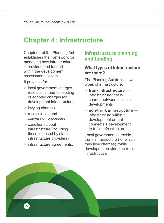# **Chapter 4: Infrastructure**

Chapter 4 of the Planning Act establishes the framework for managing how infrastructure is provided and funded within the development assessment system.

It provides for:

- > local government charges resolutions, and the setting of adopted charges for development infrastructure
- > levying charges

22

- > recalculation and conversion processes
- > conditions about infrastructure (including those imposed by state infrastructure providers)
- > infrastructure agreements.

# **Infrastructure planning and funding**

#### **What types of infrastructure are there?**

The Planning Act defines two types of infrastructure:

- > **trunk infrastructure** infrastructure that is shared between multiple developments
- > **non-trunk infrastructure**  infrastructure within a development or that connects a development to trunk infrastructure.

Local governments provide trunk infrastructure (for which they levy charges), while developers provide non-trunk infrastructure.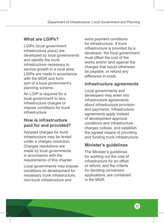### **What are LGIPs?**

LGIPs (local government infrastructure plans) are developed by local governments and identify the trunk infrastructure necessary to service growth in a local area. LGIPs are made in accordance with the MGR and form part of a local government's planning scheme.

An LGIP is required for a local government to levy infrastructure charges or impose conditions for trunk infrastructure.

#### **How is infrastructure paid for and provided?**

Adopted charges for trunk infrastructure may be levied under a charges resolution. Charges resolutions are made by local governments in accordance with the requirements of this chapter.

Local governments may impose conditions on development for necessary trunk infrastructure, non-trunk infrastructure and

extra payment conditions for infrastructure. If trunk infrastructure is provided by a developer, the local government must offset the cost of the works and/or land against the charges that would otherwise be payable, or refund any difference in costs.

#### **Infrastructure agreements**

Local governments and developers may enter into infrastructure agreements about infrastructure provision and payments. Infrastructure agreements apply instead of development approval conditions and infrastructure charges notices, and establish the agreed means of providing and funding trunk infrastructure.

# **Minister's guidelines**

The Minister's guidelines for working out the cost of infrastructure for an offset or refund, and the criteria for deciding conversion applications, are contained in the MGR.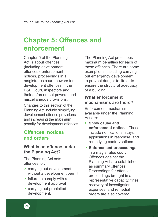# **Chapter 5: Offences and enforcement**

Chapter 5 of the Planning Act is about offences (including development offences), enforcement notices, proceedings in a magistrates court, powers for development offences in the P&E Court, inspectors and their enforcement powers, and miscellaneous provisions.

Changes to this section of the Planning Act include simplifying development offence provisions and increasing the maximum penalty for development offences.

# **Offences, notices and orders**

#### **What is an offence under the Planning Act?**

The Planning Act sets offences for:

- > carrying out development without a development permit
- > failure to comply with a development approval
- > carrying out prohibited development.

The Planning Act prescribes maximum penalties for each of these offences. There are some exemptions, including carrying out emergency development to prevent danger to life or to ensure the structural adequacy of a building.

### **What enforcement mechanisms are there?**

Enforcement mechanisms available under the Planning Act are:

> **Show cause and enforcement notices**. These include notifications, stays, applications in response, and remedying contraventions.

#### > **Enforcement proceedings** in a magistrates court Offences against the Planning Act are established as summary offences. Proceedings for offences, proceedings brought in a representative capacity, fines, recovery of investigation expenses, and remedial orders are also covered.

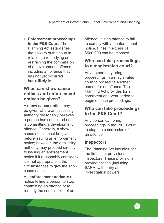> **Enforcement proceedings in the P&E Court.** The Planning Act establishes the powers of the court in relation to remedying or restraining the commission of a development offence, including an offence that has not yet occurred but is likely to.

### **When can show cause notices and enforcement notices be given?**

A **show cause notice** may be given where an assessing authority reasonably believes a person has committed or is committing a development offence. Generally, a show cause notice must be given before issuing an enforcement notice; however, the assessing authority may proceed directly to issuing an enforcement notice if it reasonably considers it is not appropriate in the circumstances to give the show cause notice.

An **enforcement notice** is a notice telling a person to stop committing an offence or to remedy the commission of an offence. It is an offence to fail to comply with an enforcement notice. Fines in excess of \$560,000 can be imposed.

#### **Who can take proceedings to a magistrates court?**

Any person may bring proceedings in a magistrates court to prosecute another person for an offence. The Planning Act provides for a consistent one-year period to begin offence proceedings.

### **Who can take proceedings to the P&E Court?**

Any person can bring proceedings in the P&E Court to stop the commission of an offence.

#### **Inspectors**

The Planning Act includes, for the first time, provisions for inspectors. These provisions provide entities (including SARA) with entry and investigation powers.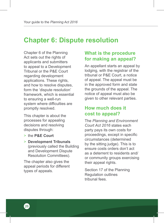# **Chapter 6: Dispute resolution**

Chapter 6 of the Planning Act sets out the rights of applicants and submitters to appeal to a Development Tribunal or the P&E Court regarding development applications. These rights, and how to resolve disputes, form the 'dispute resolution' framework, which is essential to ensuring a well-run system where difficulties are promptly resolved.

This chapter is about the processes for appealing decisions and resolving disputes through:

> the **P&E Court**

26

> **Development Tribunals** (previously called the Building and Development Dispute Resolution Committees).

The chapter also gives the appeal periods for different types of appeals.

# **What is the procedure for making an appeal?**

An appellant starts an appeal by lodging, with the registrar of the tribunal or P&E Court, a notice of appeal. The appeal must be in the approved form and state the grounds of the appeal. The notice of appeal must also be given to other relevant parties.

# **How much does it cost to appeal?**

The *Planning and Environment Court Act 2016* states each party pays its own costs for proceedings, except in specific circumstances (determined by the sitting judge). This is to ensure costs orders don't act as a deterrent to residents and/ or community groups exercising their appeal rights.

Section 17 of the Planning Regulation outlines tribunal fees.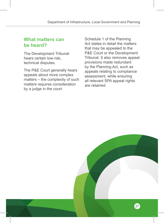# **What matters can be heard?**

The Development Tribunal hears certain low-risk, technical disputes.

The P&E Court generally hears appeals about more complex matters – the complexity of such matters requires consideration by a judge in the court.

Schedule 1 of the Planning Act states in detail the matters that may be appealed to the P&E Court or the Development Tribunal. It also removes appeal provisions made redundant by the Planning Act, such as appeals relating to compliance assessment, while ensuring all relevant SPA appeal rights are retained.

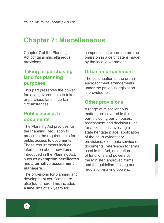# **Chapter 7: Miscellaneous**

Chapter 7 of the Planning Act contains miscellaneous provisions.

# **Taking or purchasing land for planning purposes**

This part preserves the power for local governments to take or purchase land in certain circumstances.

# **Public access to documents**

The Planning Act provides for the Planning Regulation to prescribe the requirements for public access to documents. These requirements include information about new items introduced in the Planning Act, such as **exemption certificates** and **alternative assessment managers**.

The provisions for planning and development certificates are also found here. This includes a time limit of six years for

compensation where an error or omission in a certificate is made by the local government.

#### **Urban encroachment**

The continuation of the urban encroachment arrangements under the previous legislation is provided for.

### **Other provisions**

A range of miscellaneous matters are covered in this part including party houses, assessment and decision rules for applications involving a state heritage place, application of the court evidentiary provisions, electronic se documents, references used in the Act, deleg of functions and powe the Minister, approved and the quideline-mak regulation-making powe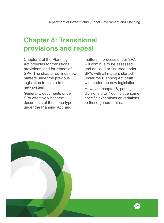# **Chapter 8: Transitional provisions and repeal**

Chapter 8 of the Planning Act provides for transitional provisions, and for repeal of SPA. The chapter outlines how matters under the previous legislation translate to the new system.

Generally, documents under SPA effectively become documents of the same type under the Planning Act, and

matters in process under SPA will continue to be assessed and decided or finalised under SPA, with all matters started under the Planning Act dealt with under the new legislation.

However, chapter 8, part 1, divisions 3 to 7 do include some specific exceptions or variations to these general rules.

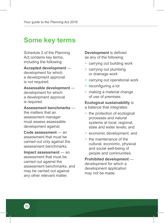# **Some key terms**

Schedule 2 of the Planning Act contains key terms, including the following:

**Accepted development** development for which a development approval is not required.

**Assessable development** development for which a development approval is required.

**Assessment benchmarks** the matters that an assessment manager must assess assessable development against.

**Code assessment** — an assessment that must be carried out only against the assessment benchmarks.

**Impact assessment** — an assessment that must be carried out against the assessment benchmarks, and may be carried out against any other relevant matter.

**Development** is defined as any of the following:

- > carrying out building work
- > carrying out plumbing or drainage work
- > carrying out operational work
- > reconfiguring a lot
- > making a material change of use of premises.

**Ecological sustainability** is a balance that integrates:

- > the protection of ecological processes and natural systems at local, regional, state and wider levels; and
- > economic development; and
- > the maintenance of the cultural, economic, physical and social well-being of people and communities.

**Prohibited development** development for which a development application may not be made.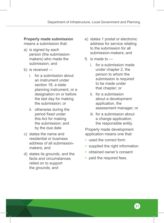#### **Properly made submission**

means a submission that:

- a) is signed by each person (the submissionmakers) who made the submission; and
- b) is received
	- i. for a submission about an instrument under section 18, a state planning instrument, or a designation on or before the last day for making the submission; or
	- ii. otherwise during the period fixed under this Act for making the submission; and by the due date
- c) states the name and residential or business address of all submissionmakers; and
- d) states its grounds, and the facts and circumstances relied on to support the grounds; and
- e) states 1 postal or electronic address for service relating to the submission for all submission-makers; and
- f) is made to  $$ 
	- i. for a submission made under chapter 2, the person to whom the submission is required to be made under that chapter; or
	- ii. for a submission about a development application, the assessment manager; or
	- iii. for a submission about a change application, the responsible entity.

Properly made development application means one that:

- > used the correct form
- > supplied the right information
- > obtained owner's consent
- > paid the required fees.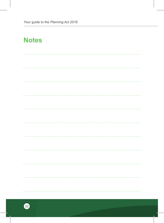# **Notes**

32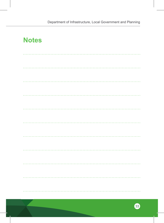# **Notes**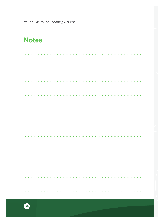# **Notes**

34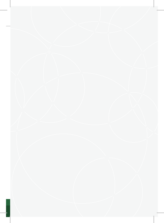